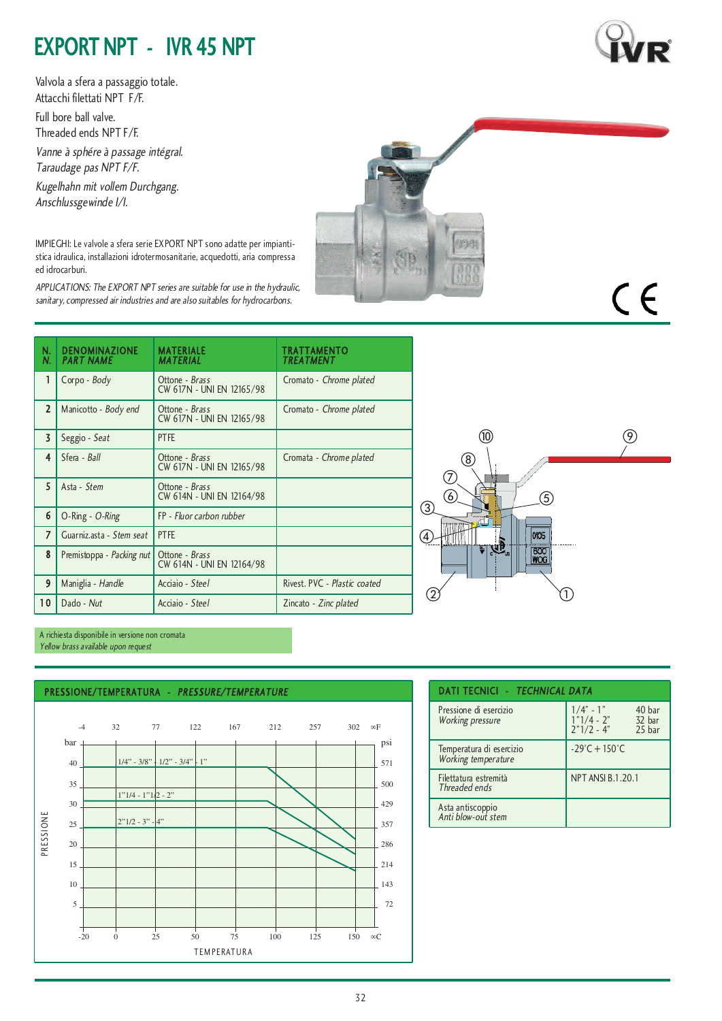## **EXPORT NPT - IVR 45 NPT**

Valvola a sfera a passaggio totale. Attacchi filettati NPT F/F. Full bore ball valve. Threaded ends NPT F/F.

Vanne <sup>à</sup> sphére <sup>à</sup> passage intégral. Taraudage pas NPT F/F.

Kugelhahn mit vollem Durchgang. Anschlussgewinde I/I.

IMPIEGHI: Le valvole a sfera serie EXPORT NPT sono adatte per impiantistica idraulica, installazioni idrotermosanitarie, acquedotti, aria compressa ed idrocarburi.

APPLICATIONS: The EXPORT NPT series are suitable for use in the hydraulic, sanitary, compressed air industries and are also suitables for hydrocarbons.

| N.<br>N.       | <b>DENOMINAZIONE</b><br><b>PART NAME</b> | <b>MATERIALE</b><br><b>MATERIAL</b>         | TRATTAMENTO<br>TREATMENT     |  |  |
|----------------|------------------------------------------|---------------------------------------------|------------------------------|--|--|
| $\mathbf{1}$   | Corpo - Body                             | Ottone - Brass<br>CW 617N - UNI EN 12165/98 | Cromato - Chrome plated      |  |  |
| $\overline{2}$ | Manicotto - Body end                     | Ottone - Brass<br>CW 617N - UNI EN 12165/98 | Cromato - Chrome plated      |  |  |
| $\overline{3}$ | Seggio - Seat                            | <b>PTFE</b>                                 |                              |  |  |
| 4              | Sfera - Ball                             | Ottone - Brass<br>CW 617N - UNI EN 12165/98 | Cromata - Chrome plated      |  |  |
| 5              | Asta - Stem                              | Ottone - Brass<br>CW 614N - UNI EN 12164/98 |                              |  |  |
| 6              | O-Ring - O-Ring                          | FP - Fluor carbon rubber                    |                              |  |  |
| 7              | Guarniz.asta - Stem seat                 | <b>PTFE</b>                                 |                              |  |  |
| 8              | Premistoppa - Packing nut                | Ottone - Brass<br>CW 614N - UNI EN 12164/98 |                              |  |  |
| 9              | Maniglia - Handle                        | Acciaio - Steel                             | Rivest, PVC - Plastic coated |  |  |
| 10             | Dado - Nut                               | Acciaio - Steel                             | Zincato - Zinc plated        |  |  |



A richiesta disponibile in versione non cromata Yellow brass available upon request







CE